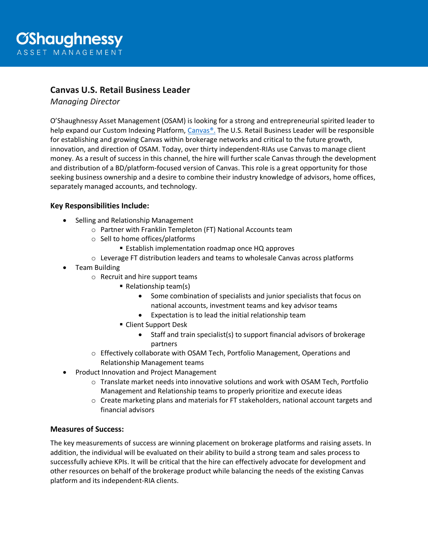# **Canvas U.S. Retail Business Leader**

*Managing Director*

O'Shaughnessy Asset Management (OSAM) is looking for a strong and entrepreneurial spirited leader to help expand our Custom Indexing Platform, [Canvas®.](https://canvas.osam.com/) The U.S. Retail Business Leader will be responsible for establishing and growing Canvas within brokerage networks and critical to the future growth, innovation, and direction of OSAM. Today, over thirty independent-RIAs use Canvas to manage client money. As a result of success in this channel, the hire will further scale Canvas through the development and distribution of a BD/platform-focused version of Canvas. This role is a great opportunity for those seeking business ownership and a desire to combine their industry knowledge of advisors, home offices, separately managed accounts, and technology.

## **Key Responsibilities Include:**

- Selling and Relationship Management
	- o Partner with Franklin Templeton (FT) National Accounts team
	- o Sell to home offices/platforms
		- **Establish implementation roadmap once HQ approves**
	- $\circ$  Leverage FT distribution leaders and teams to wholesale Canvas across platforms
- Team Building
	- o Recruit and hire support teams
		- Relationship team(s)
			- Some combination of specialists and junior specialists that focus on national accounts, investment teams and key advisor teams
			- Expectation is to lead the initial relationship team
		- Client Support Desk
			- Staff and train specialist(s) to support financial advisors of brokerage partners
	- o Effectively collaborate with OSAM Tech, Portfolio Management, Operations and Relationship Management teams
- Product Innovation and Project Management
	- o Translate market needs into innovative solutions and work with OSAM Tech, Portfolio Management and Relationship teams to properly prioritize and execute ideas
	- $\circ$  Create marketing plans and materials for FT stakeholders, national account targets and financial advisors

### **Measures of Success:**

The key measurements of success are winning placement on brokerage platforms and raising assets. In addition, the individual will be evaluated on their ability to build a strong team and sales process to successfully achieve KPIs. It will be critical that the hire can effectively advocate for development and other resources on behalf of the brokerage product while balancing the needs of the existing Canvas platform and its independent-RIA clients.